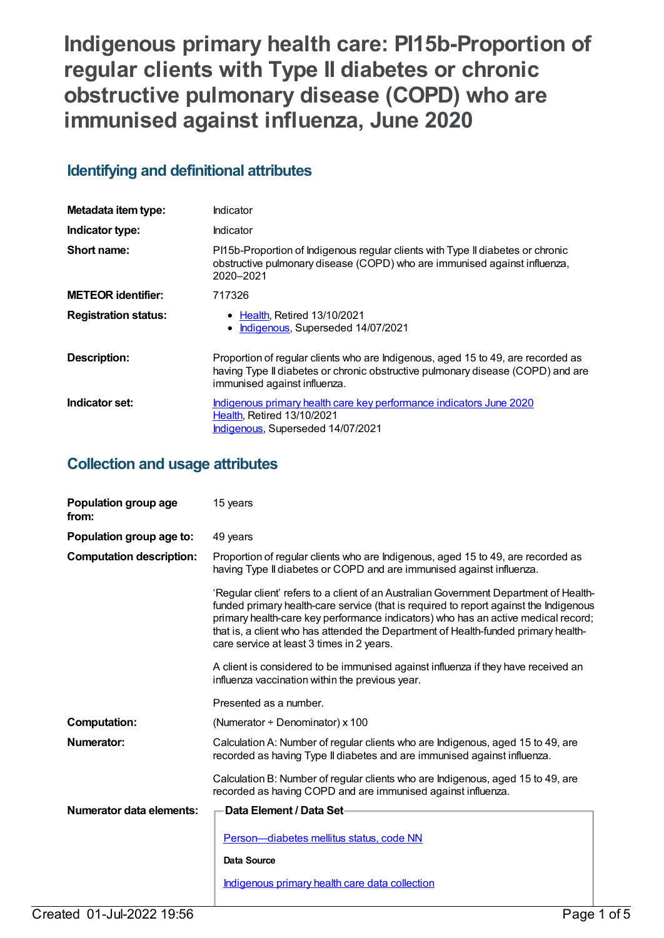**Indigenous primary health care: PI15b-Proportion of regular clients with Type II diabetes or chronic obstructive pulmonary disease (COPD) who are immunised against influenza, June 2020**

## **Identifying and definitional attributes**

| Metadata item type:         | Indicator                                                                                                                                                                                           |
|-----------------------------|-----------------------------------------------------------------------------------------------------------------------------------------------------------------------------------------------------|
| Indicator type:             | Indicator                                                                                                                                                                                           |
| Short name:                 | PI15b-Proportion of Indigenous regular clients with Type II diabetes or chronic<br>obstructive pulmonary disease (COPD) who are immunised against influenza,<br>2020-2021                           |
| <b>METEOR</b> identifier:   | 717326                                                                                                                                                                                              |
| <b>Registration status:</b> | • Health, Retired 13/10/2021<br>• Indigenous, Superseded 14/07/2021                                                                                                                                 |
| Description:                | Proportion of regular clients who are Indigenous, aged 15 to 49, are recorded as<br>having Type II diabetes or chronic obstructive pulmonary disease (COPD) and are<br>immunised against influenza. |
| Indicator set:              | Indigenous primary health care key performance indicators June 2020<br><b>Health. Retired 13/10/2021</b><br>Indigenous, Superseded 14/07/2021                                                       |

## **Collection and usage attributes**

| Population group age<br>from:   | 15 years                                                                                                                                                                                                                                                                                                                                                                                               |
|---------------------------------|--------------------------------------------------------------------------------------------------------------------------------------------------------------------------------------------------------------------------------------------------------------------------------------------------------------------------------------------------------------------------------------------------------|
| Population group age to:        | 49 years                                                                                                                                                                                                                                                                                                                                                                                               |
| <b>Computation description:</b> | Proportion of regular clients who are Indigenous, aged 15 to 49, are recorded as<br>having Type II diabetes or COPD and are immunised against influenza.                                                                                                                                                                                                                                               |
|                                 | 'Regular client' refers to a client of an Australian Government Department of Health-<br>funded primary health-care service (that is required to report against the Indigenous<br>primary health-care key performance indicators) who has an active medical record;<br>that is, a client who has attended the Department of Health-funded primary health-<br>care service at least 3 times in 2 years. |
|                                 | A client is considered to be immunised against influenza if they have received an<br>influenza vaccination within the previous year.                                                                                                                                                                                                                                                                   |
|                                 | Presented as a number.                                                                                                                                                                                                                                                                                                                                                                                 |
| <b>Computation:</b>             | (Numerator $\div$ Denominator) x 100                                                                                                                                                                                                                                                                                                                                                                   |
| Numerator:                      | Calculation A: Number of regular clients who are Indigenous, aged 15 to 49, are<br>recorded as having Type II diabetes and are immunised against influenza.                                                                                                                                                                                                                                            |
|                                 | Calculation B: Number of regular clients who are Indigenous, aged 15 to 49, are<br>recorded as having COPD and are immunised against influenza.                                                                                                                                                                                                                                                        |
| <b>Numerator data elements:</b> | Data Element / Data Set-                                                                                                                                                                                                                                                                                                                                                                               |
|                                 | Person-diabetes mellitus status, code NN                                                                                                                                                                                                                                                                                                                                                               |
|                                 | <b>Data Source</b>                                                                                                                                                                                                                                                                                                                                                                                     |
|                                 | Indigenous primary health care data collection                                                                                                                                                                                                                                                                                                                                                         |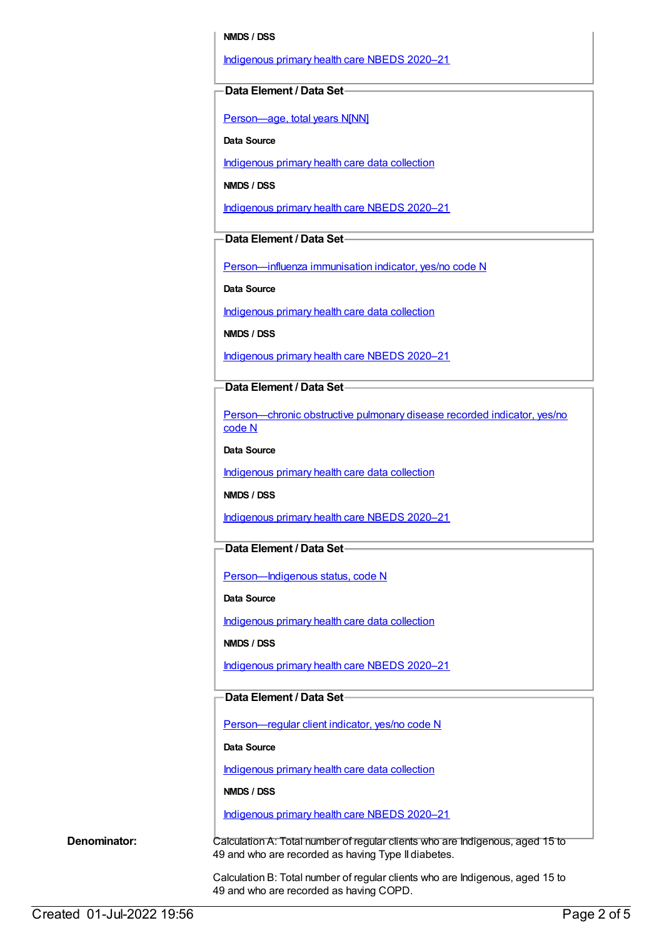#### **NMDS / DSS**

[Indigenous](https://meteor.aihw.gov.au/content/715320) primary health care NBEDS 2020–21

#### **Data Element / Data Set**

[Person—age,](https://meteor.aihw.gov.au/content/303794) total years N[NN]

**Data Source**

[Indigenous](https://meteor.aihw.gov.au/content/430643) primary health care data collection

**NMDS / DSS**

[Indigenous](https://meteor.aihw.gov.au/content/715320) primary health care NBEDS 2020–21

## **Data Element / Data Set**

[Person—influenza](https://meteor.aihw.gov.au/content/457688) immunisation indicator, yes/no code N

**Data Source**

[Indigenous](https://meteor.aihw.gov.au/content/430643) primary health care data collection

**NMDS / DSS**

[Indigenous](https://meteor.aihw.gov.au/content/715320) primary health care NBEDS 2020–21

## **Data Element / Data Set**

[Person—chronic](https://meteor.aihw.gov.au/content/464928) obstructive pulmonary disease recorded indicator, yes/no code N

**Data Source**

[Indigenous](https://meteor.aihw.gov.au/content/430643) primary health care data collection

**NMDS / DSS**

[Indigenous](https://meteor.aihw.gov.au/content/715320) primary health care NBEDS 2020–21

### **Data Element / Data Set**

Person-Indigenous status, code N

**Data Source**

[Indigenous](https://meteor.aihw.gov.au/content/430643) primary health care data collection

**NMDS / DSS**

[Indigenous](https://meteor.aihw.gov.au/content/715320) primary health care NBEDS 2020–21

#### **Data Element / Data Set**

[Person—regular](https://meteor.aihw.gov.au/content/686291) client indicator, yes/no code N

**Data Source**

[Indigenous](https://meteor.aihw.gov.au/content/430643) primary health care data collection

**NMDS / DSS**

[Indigenous](https://meteor.aihw.gov.au/content/715320) primary health care NBEDS 2020–21

**Denominator:** Calculation A: Total number of regular clients who are Indigenous, aged 15 to 49 and who are recorded as having Type II diabetes.

> Calculation B: Total number of regular clients who are Indigenous, aged 15 to 49 and who are recorded as having COPD.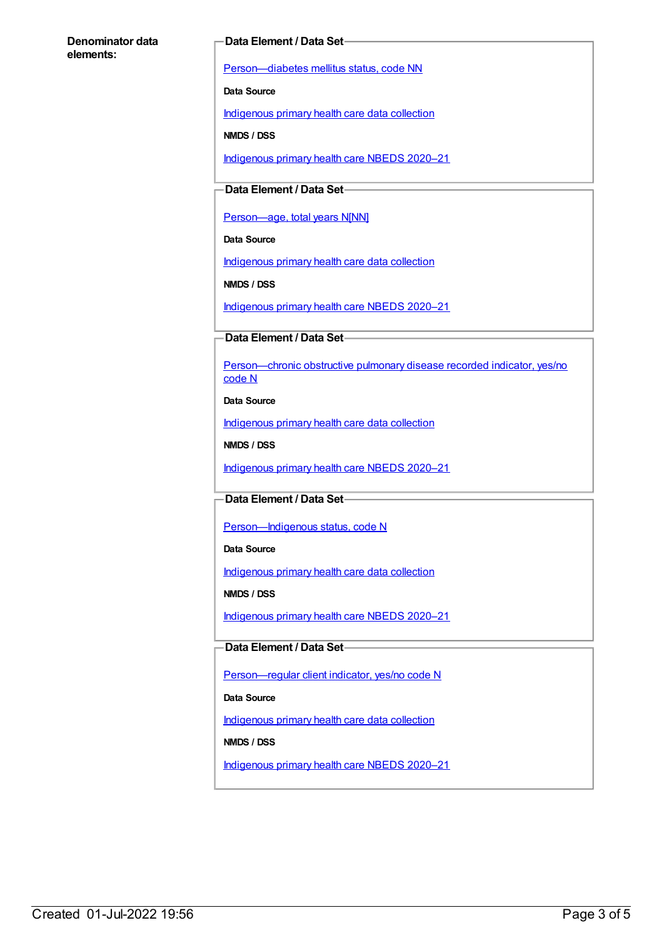#### **Denominator data elements:**

#### **Data Element / Data Set**

[Person—diabetes](https://meteor.aihw.gov.au/content/270194) mellitus status, code NN

**Data Source**

[Indigenous](https://meteor.aihw.gov.au/content/430643) primary health care data collection

**NMDS / DSS**

[Indigenous](https://meteor.aihw.gov.au/content/715320) primary health care NBEDS 2020–21

## **Data Element / Data Set**

[Person—age,](https://meteor.aihw.gov.au/content/303794) total years N[NN]

**Data Source**

[Indigenous](https://meteor.aihw.gov.au/content/430643) primary health care data collection

**NMDS / DSS**

[Indigenous](https://meteor.aihw.gov.au/content/715320) primary health care NBEDS 2020–21

### **Data Element / Data Set**

[Person—chronic](https://meteor.aihw.gov.au/content/464928) obstructive pulmonary disease recorded indicator, yes/no code N

**Data Source**

[Indigenous](https://meteor.aihw.gov.au/content/430643) primary health care data collection

**NMDS / DSS**

[Indigenous](https://meteor.aihw.gov.au/content/715320) primary health care NBEDS 2020–21

#### **Data Element / Data Set**

Person-Indigenous status, code N

**Data Source**

[Indigenous](https://meteor.aihw.gov.au/content/430643) primary health care data collection

**NMDS / DSS**

[Indigenous](https://meteor.aihw.gov.au/content/715320) primary health care NBEDS 2020–21

### **Data Element / Data Set**

[Person—regular](https://meteor.aihw.gov.au/content/686291) client indicator, yes/no code N

**Data Source**

[Indigenous](https://meteor.aihw.gov.au/content/430643) primary health care data collection

**NMDS / DSS**

[Indigenous](https://meteor.aihw.gov.au/content/715320) primary health care NBEDS 2020–21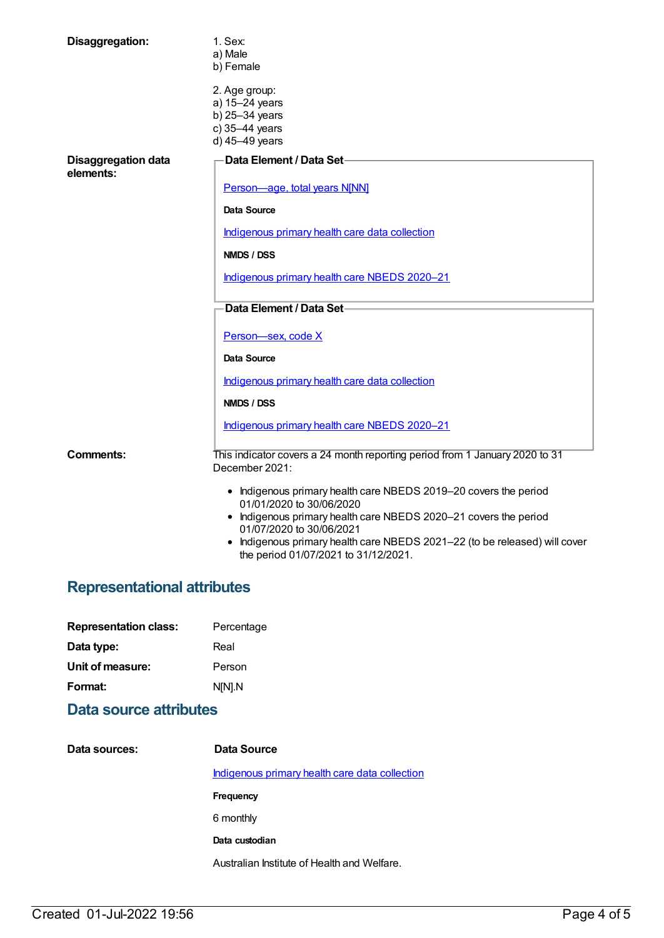| Disaggregation:                         | 1. Sex:<br>a) Male<br>b) Female                                                                                                                                                                                                                                                                                    |
|-----------------------------------------|--------------------------------------------------------------------------------------------------------------------------------------------------------------------------------------------------------------------------------------------------------------------------------------------------------------------|
|                                         | 2. Age group:<br>a) 15-24 years<br>b) 25-34 years<br>c) 35-44 years<br>d) 45-49 years                                                                                                                                                                                                                              |
| <b>Disaggregation data</b><br>elements: | Data Element / Data Set-                                                                                                                                                                                                                                                                                           |
|                                         | Person-age, total years N[NN]                                                                                                                                                                                                                                                                                      |
|                                         | Data Source                                                                                                                                                                                                                                                                                                        |
|                                         | Indigenous primary health care data collection                                                                                                                                                                                                                                                                     |
|                                         | NMDS / DSS                                                                                                                                                                                                                                                                                                         |
|                                         | Indigenous primary health care NBEDS 2020-21                                                                                                                                                                                                                                                                       |
|                                         | Data Element / Data Set-                                                                                                                                                                                                                                                                                           |
|                                         | Person-sex, code X                                                                                                                                                                                                                                                                                                 |
|                                         | Data Source                                                                                                                                                                                                                                                                                                        |
|                                         | Indigenous primary health care data collection                                                                                                                                                                                                                                                                     |
|                                         | NMDS / DSS                                                                                                                                                                                                                                                                                                         |
|                                         | Indigenous primary health care NBEDS 2020-21                                                                                                                                                                                                                                                                       |
| <b>Comments:</b>                        | This indicator covers a 24 month reporting period from 1 January 2020 to 31<br>December 2021:                                                                                                                                                                                                                      |
|                                         | • Indigenous primary health care NBEDS 2019-20 covers the period<br>01/01/2020 to 30/06/2020<br>• Indigenous primary health care NBEDS 2020-21 covers the period<br>01/07/2020 to 30/06/2021<br>• Indigenous primary health care NBEDS 2021-22 (to be released) will cover<br>the period 01/07/2021 to 31/12/2021. |

# **Representational attributes**

| <b>Representation class:</b> | Percentage |
|------------------------------|------------|
| Data type:                   | Real       |
| Unit of measure:             | Person     |
| Format:                      | N[N].N     |

## **Data source attributes**

| Data sources: | Data Source                                    |
|---------------|------------------------------------------------|
|               | Indigenous primary health care data collection |
|               | Frequency                                      |
|               | 6 monthly                                      |
|               | Data custodian                                 |
|               | Australian Institute of Health and Welfare.    |